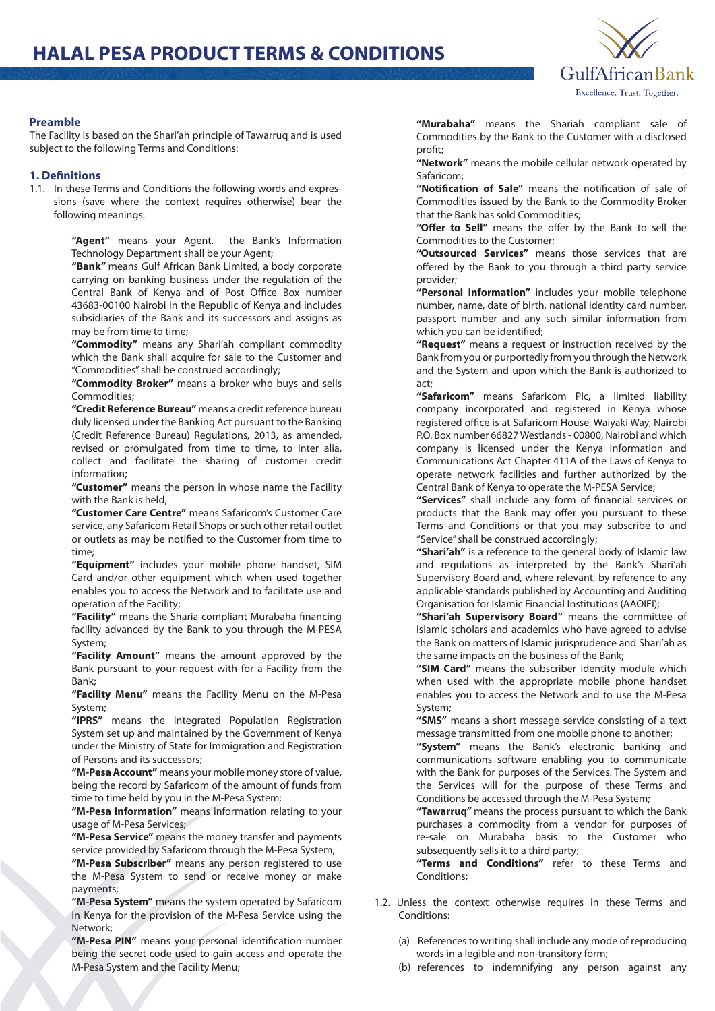

## **Preamble**

The Facility is based on the Shari'ah principle of Tawarruq and is used subject to the following Terms and Conditions:

## **1. Definitions**

1.1. In these Terms and Conditions the following words and expressions (save where the context requires otherwise) bear the following meanings:

> **"Agent"** means your Agent. the Bank's Information Technology Department shall be your Agent;

> **"Bank"** means Gulf African Bank Limited, a body corporate carrying on banking business under the regulation of the Central Bank of Kenya and of Post Office Box number 43683-00100 Nairobi in the Republic of Kenya and includes subsidiaries of the Bank and its successors and assigns as may be from time to time;

> **"Commodity"** means any Shari'ah compliant commodity which the Bank shall acquire for sale to the Customer and "Commodities" shall be construed accordingly;

> **"Commodity Broker"** means a broker who buys and sells Commodities;

> **"Credit Reference Bureau"** means a credit reference bureau duly licensed under the Banking Act pursuant to the Banking (Credit Reference Bureau) Regulations, 2013, as amended, revised or promulgated from time to time, to inter alia, collect and facilitate the sharing of customer credit information;

> **"Customer"** means the person in whose name the Facility with the Bank is held;

> **"Customer Care Centre"** means Safaricom's Customer Care service, any Safaricom Retail Shops or such other retail outlet or outlets as may be notified to the Customer from time to time;

> **"Equipment"** includes your mobile phone handset, SIM Card and/or other equipment which when used together enables you to access the Network and to facilitate use and operation of the Facility;

> "Facility" means the Sharia compliant Murabaha financing facility advanced by the Bank to you through the M-PESA System;

> **"Facility Amount"** means the amount approved by the Bank pursuant to your request with for a Facility from the Bank;

> **"Facility Menu"** means the Facility Menu on the M-Pesa System;

> **"IPRS"** means the Integrated Population Registration System set up and maintained by the Government of Kenya under the Ministry of State for Immigration and Registration of Persons and its successors;

> **"M-Pesa Account"** means your mobile money store of value, being the record by Safaricom of the amount of funds from time to time held by you in the M-Pesa System;

> **"M-Pesa Information"** means information relating to your usage of M-Pesa Services;

> **"M-Pesa Service"** means the money transfer and payments service provided by Safaricom through the M-Pesa System;

> **"M-Pesa Subscriber"** means any person registered to use the M-Pesa System to send or receive money or make payments;

> **"M-Pesa System"** means the system operated by Safaricom in Kenya for the provision of the M-Pesa Service using the Network;

> "M-Pesa PIN" means your personal identification number being the secret code used to gain access and operate the M-Pesa System and the Facility Menu;

**"Murabaha"** means the Shariah compliant sale of Commodities by the Bank to the Customer with a disclosed profit;

**"Network"** means the mobile cellular network operated by Safaricom;

"Notification of Sale" means the notification of sale of Commodities issued by the Bank to the Commodity Broker that the Bank has sold Commodities;

"Offer to Sell" means the offer by the Bank to sell the Commodities to the Customer;

**"Outsourced Services"** means those services that are offered by the Bank to you through a third party service provider;

**"Personal Information"** includes your mobile telephone number, name, date of birth, national identity card number, passport number and any such similar information from which you can be identified:

**"Request"** means a request or instruction received by the Bank from you or purportedly from you through the Network and the System and upon which the Bank is authorized to act;

**"Safaricom"** means Safaricom Plc, a limited liability company incorporated and registered in Kenya whose registered office is at Safaricom House, Waiyaki Way, Nairobi P.O. Box number 66827 Westlands - 00800, Nairobi and which company is licensed under the Kenya Information and Communications Act Chapter 411A of the Laws of Kenya to operate network facilities and further authorized by the Central Bank of Kenya to operate the M-PESA Service;

"Services" shall include any form of financial services or products that the Bank may offer you pursuant to these Terms and Conditions or that you may subscribe to and "Service" shall be construed accordingly;

**"Shari'ah"** is a reference to the general body of Islamic law and regulations as interpreted by the Bank's Shari'ah Supervisory Board and, where relevant, by reference to any applicable standards published by Accounting and Auditing Organisation for Islamic Financial Institutions (AAOIFI);

**"Shari'ah Supervisory Board"** means the committee of Islamic scholars and academics who have agreed to advise the Bank on matters of Islamic jurisprudence and Shari'ah as the same impacts on the business of the Bank;

**"SIM Card"** means the subscriber identity module which when used with the appropriate mobile phone handset enables you to access the Network and to use the M-Pesa System;

**"SMS"** means a short message service consisting of a text message transmitted from one mobile phone to another;

**"System"** means the Bank's electronic banking and communications software enabling you to communicate with the Bank for purposes of the Services. The System and the Services will for the purpose of these Terms and Conditions be accessed through the M-Pesa System;

**"Tawarruq"** means the process pursuant to which the Bank purchases a commodity from a vendor for purposes of re-sale on Murabaha basis to the Customer who subsequently sells it to a third party;

**"Terms and Conditions"** refer to these Terms and Conditions;

- 1.2. Unless the context otherwise requires in these Terms and Conditions:
	- (a) References to writing shall include any mode of reproducing words in a legible and non-transitory form;
	- (b) references to indemnifying any person against any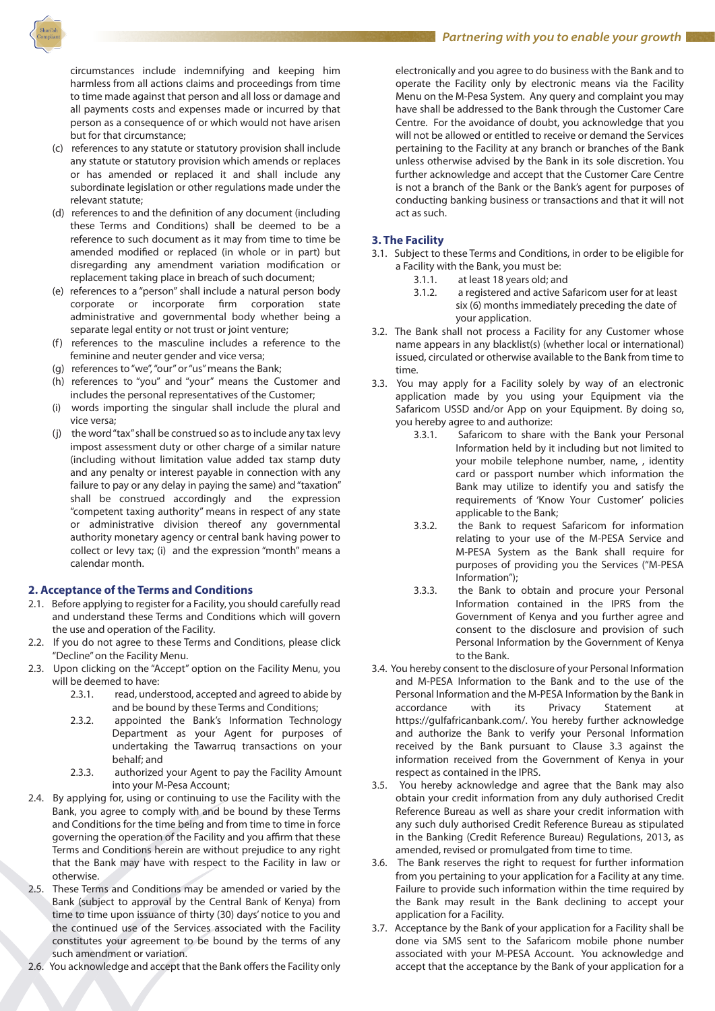

circumstances include indemnifying and keeping him harmless from all actions claims and proceedings from time to time made against that person and all loss or damage and all payments costs and expenses made or incurred by that person as a consequence of or which would not have arisen but for that circumstance;

- (c) references to any statute or statutory provision shall include any statute or statutory provision which amends or replaces or has amended or replaced it and shall include any subordinate legislation or other regulations made under the relevant statute;
- (d) references to and the definition of any document (including these Terms and Conditions) shall be deemed to be a reference to such document as it may from time to time be amended modified or replaced (in whole or in part) but disregarding any amendment variation modification or replacement taking place in breach of such document;
- (e) references to a "person" shall include a natural person body corporate or incorporate firm corporation state administrative and governmental body whether being a separate legal entity or not trust or joint venture;
- (f) references to the masculine includes a reference to the feminine and neuter gender and vice versa;
- (g) references to "we", "our" or "us" means the Bank;
- (h) references to "you" and "your" means the Customer and includes the personal representatives of the Customer;
- (i) words importing the singular shall include the plural and vice versa;
- (j) the word "tax" shall be construed so as to include any tax levy impost assessment duty or other charge of a similar nature (including without limitation value added tax stamp duty and any penalty or interest payable in connection with any failure to pay or any delay in paying the same) and "taxation" shall be construed accordingly and the expression "competent taxing authority" means in respect of any state or administrative division thereof any governmental authority monetary agency or central bank having power to collect or levy tax; (i) and the expression "month" means a calendar month.

#### **2. Acceptance of the Terms and Conditions**

- 2.1. Before applying to register for a Facility, you should carefully read and understand these Terms and Conditions which will govern the use and operation of the Facility.
- 2.2. If you do not agree to these Terms and Conditions, please click "Decline" on the Facility Menu.
- 2.3. Upon clicking on the "Accept" option on the Facility Menu, you will be deemed to have:
	- 2.3.1. read, understood, accepted and agreed to abide by and be bound by these Terms and Conditions;
	- 2.3.2. appointed the Bank's Information Technology Department as your Agent for purposes of undertaking the Tawarruq transactions on your behalf; and
	- 2.3.3. authorized your Agent to pay the Facility Amount into your M-Pesa Account;
- 2.4. By applying for, using or continuing to use the Facility with the Bank, you agree to comply with and be bound by these Terms and Conditions for the time being and from time to time in force governing the operation of the Facility and you affirm that these Terms and Conditions herein are without prejudice to any right that the Bank may have with respect to the Facility in law or otherwise.
- 2.5. These Terms and Conditions may be amended or varied by the Bank (subject to approval by the Central Bank of Kenya) from time to time upon issuance of thirty (30) days' notice to you and the continued use of the Services associated with the Facility constitutes your agreement to be bound by the terms of any such amendment or variation.
- 2.6. You acknowledge and accept that the Bank offers the Facility only

electronically and you agree to do business with the Bank and to operate the Facility only by electronic means via the Facility Menu on the M-Pesa System. Any query and complaint you may have shall be addressed to the Bank through the Customer Care Centre. For the avoidance of doubt, you acknowledge that you will not be allowed or entitled to receive or demand the Services pertaining to the Facility at any branch or branches of the Bank unless otherwise advised by the Bank in its sole discretion. You further acknowledge and accept that the Customer Care Centre is not a branch of the Bank or the Bank's agent for purposes of conducting banking business or transactions and that it will not act as such.

## **3. The Facility**

- 3.1. Subject to these Terms and Conditions, in order to be eligible for a Facility with the Bank, you must be:
	- 3.1.1. at least 18 years old; and
	- 3.1.2. a registered and active Safaricom user for at least six (6) months immediately preceding the date of your application.
- 3.2. The Bank shall not process a Facility for any Customer whose name appears in any blacklist(s) (whether local or international) issued, circulated or otherwise available to the Bank from time to time.
- 3.3. You may apply for a Facility solely by way of an electronic application made by you using your Equipment via the Safaricom USSD and/or App on your Equipment. By doing so, you hereby agree to and authorize:
	- 3.3.1. Safaricom to share with the Bank your Personal Information held by it including but not limited to your mobile telephone number, name, , identity card or passport number which information the Bank may utilize to identify you and satisfy the requirements of 'Know Your Customer' policies applicable to the Bank;
	- 3.3.2. the Bank to request Safaricom for information relating to your use of the M-PESA Service and M-PESA System as the Bank shall require for purposes of providing you the Services ("M-PESA Information");
	- 3.3.3. the Bank to obtain and procure your Personal Information contained in the IPRS from the Government of Kenya and you further agree and consent to the disclosure and provision of such Personal Information by the Government of Kenya to the Bank.
- 3.4. You hereby consent to the disclosure of your Personal Information and M-PESA Information to the Bank and to the use of the Personal Information and the M-PESA Information by the Bank in accordance with its Privacy Statement at https://gulfafricanbank.com/. You hereby further acknowledge and authorize the Bank to verify your Personal Information received by the Bank pursuant to Clause 3.3 against the information received from the Government of Kenya in your respect as contained in the IPRS.
- 3.5. You hereby acknowledge and agree that the Bank may also obtain your credit information from any duly authorised Credit Reference Bureau as well as share your credit information with any such duly authorised Credit Reference Bureau as stipulated in the Banking (Credit Reference Bureau) Regulations, 2013, as amended, revised or promulgated from time to time.
- 3.6. The Bank reserves the right to request for further information from you pertaining to your application for a Facility at any time. Failure to provide such information within the time required by the Bank may result in the Bank declining to accept your application for a Facility.
- 3.7. Acceptance by the Bank of your application for a Facility shall be done via SMS sent to the Safaricom mobile phone number associated with your M-PESA Account. You acknowledge and accept that the acceptance by the Bank of your application for a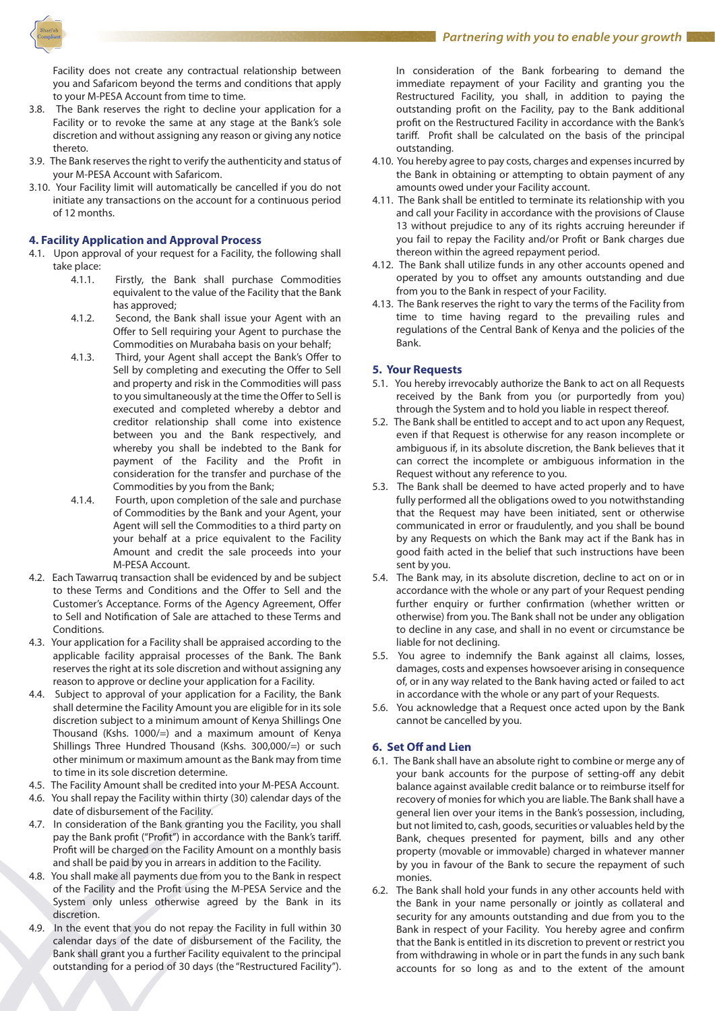

Facility does not create any contractual relationship between you and Safaricom beyond the terms and conditions that apply to your M-PESA Account from time to time.

- 3.8. The Bank reserves the right to decline your application for a Facility or to revoke the same at any stage at the Bank's sole discretion and without assigning any reason or giving any notice thereto.
- 3.9. The Bank reserves the right to verify the authenticity and status of your M-PESA Account with Safaricom.
- 3.10. Your Facility limit will automatically be cancelled if you do not initiate any transactions on the account for a continuous period of 12 months.

#### **4. Facility Application and Approval Process**

- 4.1. Upon approval of your request for a Facility, the following shall take place:
	- 4.1.1. Firstly, the Bank shall purchase Commodities equivalent to the value of the Facility that the Bank has approved;
	- 4.1.2. Second, the Bank shall issue your Agent with an Offer to Sell requiring your Agent to purchase the Commodities on Murabaha basis on your behalf;
	- 4.1.3. Third, your Agent shall accept the Bank's Offer to Sell by completing and executing the Offer to Sell and property and risk in the Commodities will pass to you simultaneously at the time the Offer to Sell is executed and completed whereby a debtor and creditor relationship shall come into existence between you and the Bank respectively, and whereby you shall be indebted to the Bank for payment of the Facility and the Profit in consideration for the transfer and purchase of the Commodities by you from the Bank;
	- 4.1.4. Fourth, upon completion of the sale and purchase of Commodities by the Bank and your Agent, your Agent will sell the Commodities to a third party on your behalf at a price equivalent to the Facility Amount and credit the sale proceeds into your M-PESA Account.
- 4.2. Each Tawarruq transaction shall be evidenced by and be subject to these Terms and Conditions and the Offer to Sell and the Customer's Acceptance. Forms of the Agency Agreement, Offer to Sell and Notification of Sale are attached to these Terms and **Conditions**
- 4.3. Your application for a Facility shall be appraised according to the applicable facility appraisal processes of the Bank. The Bank reserves the right at its sole discretion and without assigning any reason to approve or decline your application for a Facility.
- 4.4. Subject to approval of your application for a Facility, the Bank shall determine the Facility Amount you are eligible for in its sole discretion subject to a minimum amount of Kenya Shillings One Thousand (Kshs. 1000/=) and a maximum amount of Kenya Shillings Three Hundred Thousand (Kshs. 300,000/=) or such other minimum or maximum amount as the Bank may from time to time in its sole discretion determine.
- 4.5. The Facility Amount shall be credited into your M-PESA Account.
- 4.6. You shall repay the Facility within thirty (30) calendar days of the date of disbursement of the Facility.
- 4.7. In consideration of the Bank granting you the Facility, you shall pay the Bank profit ("Profit") in accordance with the Bank's tariff. Profit will be charged on the Facility Amount on a monthly basis and shall be paid by you in arrears in addition to the Facility.
- 4.8. You shall make all payments due from you to the Bank in respect of the Facility and the Profit using the M-PESA Service and the System only unless otherwise agreed by the Bank in its discretion.
- 4.9. In the event that you do not repay the Facility in full within 30 calendar days of the date of disbursement of the Facility, the Bank shall grant you a further Facility equivalent to the principal outstanding for a period of 30 days (the "Restructured Facility").

In consideration of the Bank forbearing to demand the immediate repayment of your Facility and granting you the Restructured Facility, you shall, in addition to paying the outstanding profit on the Facility, pay to the Bank additional profit on the Restructured Facility in accordance with the Bank's tariff. Profit shall be calculated on the basis of the principal outstanding.

- 4.10. You hereby agree to pay costs, charges and expenses incurred by the Bank in obtaining or attempting to obtain payment of any amounts owed under your Facility account.
- 4.11. The Bank shall be entitled to terminate its relationship with you and call your Facility in accordance with the provisions of Clause 13 without prejudice to any of its rights accruing hereunder if you fail to repay the Facility and/or Profit or Bank charges due thereon within the agreed repayment period.
- 4.12. The Bank shall utilize funds in any other accounts opened and operated by you to offset any amounts outstanding and due from you to the Bank in respect of your Facility.
- 4.13. The Bank reserves the right to vary the terms of the Facility from time to time having regard to the prevailing rules and regulations of the Central Bank of Kenya and the policies of the Bank.

## **5. Your Requests**

- 5.1. You hereby irrevocably authorize the Bank to act on all Requests received by the Bank from you (or purportedly from you) through the System and to hold you liable in respect thereof.
- 5.2. The Bank shall be entitled to accept and to act upon any Request, even if that Request is otherwise for any reason incomplete or ambiguous if, in its absolute discretion, the Bank believes that it can correct the incomplete or ambiguous information in the Request without any reference to you.
- 5.3. The Bank shall be deemed to have acted properly and to have fully performed all the obligations owed to you notwithstanding that the Request may have been initiated, sent or otherwise communicated in error or fraudulently, and you shall be bound by any Requests on which the Bank may act if the Bank has in good faith acted in the belief that such instructions have been sent by you.
- 5.4. The Bank may, in its absolute discretion, decline to act on or in accordance with the whole or any part of your Request pending further enquiry or further confirmation (whether written or otherwise) from you. The Bank shall not be under any obligation to decline in any case, and shall in no event or circumstance be liable for not declining.
- 5.5. You agree to indemnify the Bank against all claims, losses, damages, costs and expenses howsoever arising in consequence of, or in any way related to the Bank having acted or failed to act in accordance with the whole or any part of your Requests.
- 5.6. You acknowledge that a Request once acted upon by the Bank cannot be cancelled by you.

## **6. Set Off and Lien**

- 6.1. The Bank shall have an absolute right to combine or merge any of your bank accounts for the purpose of setting-off any debit balance against available credit balance or to reimburse itself for recovery of monies for which you are liable. The Bank shall have a general lien over your items in the Bank's possession, including, but not limited to, cash, goods, securities or valuables held by the Bank, cheques presented for payment, bills and any other property (movable or immovable) charged in whatever manner by you in favour of the Bank to secure the repayment of such monies.
- 6.2. The Bank shall hold your funds in any other accounts held with the Bank in your name personally or jointly as collateral and security for any amounts outstanding and due from you to the Bank in respect of your Facility. You hereby agree and confirm that the Bank is entitled in its discretion to prevent or restrict you from withdrawing in whole or in part the funds in any such bank accounts for so long as and to the extent of the amount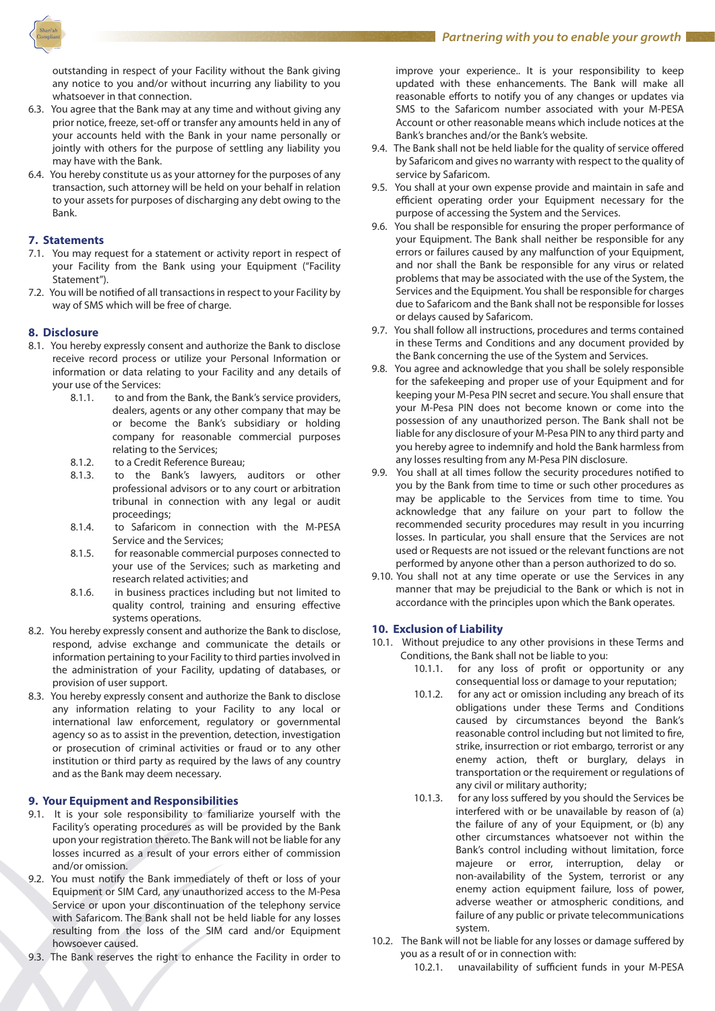

outstanding in respect of your Facility without the Bank giving any notice to you and/or without incurring any liability to you whatsoever in that connection.

- 6.3. You agree that the Bank may at any time and without giving any prior notice, freeze, set-off or transfer any amounts held in any of your accounts held with the Bank in your name personally or jointly with others for the purpose of settling any liability you may have with the Bank.
- 6.4. You hereby constitute us as your attorney for the purposes of any transaction, such attorney will be held on your behalf in relation to your assets for purposes of discharging any debt owing to the Bank.

## **7. Statements**

- 7.1. You may request for a statement or activity report in respect of your Facility from the Bank using your Equipment ("Facility Statement").
- 7.2. You will be notified of all transactions in respect to your Facility by way of SMS which will be free of charge.

## **8. Disclosure**

- 8.1. You hereby expressly consent and authorize the Bank to disclose receive record process or utilize your Personal Information or information or data relating to your Facility and any details of your use of the Services:
	- 8.1.1. to and from the Bank, the Bank's service providers, dealers, agents or any other company that may be or become the Bank's subsidiary or holding company for reasonable commercial purposes relating to the Services;
	- 8.1.2. to a Credit Reference Bureau;
	- 8.1.3. to the Bank's lawyers, auditors or other professional advisors or to any court or arbitration tribunal in connection with any legal or audit proceedings;
	- 8.1.4. to Safaricom in connection with the M-PESA Service and the Services;
	- 8.1.5. for reasonable commercial purposes connected to your use of the Services; such as marketing and research related activities; and
	- 8.1.6. in business practices including but not limited to quality control, training and ensuring effective systems operations.
- 8.2. You hereby expressly consent and authorize the Bank to disclose, respond, advise exchange and communicate the details or information pertaining to your Facility to third parties involved in the administration of your Facility, updating of databases, or provision of user support.
- 8.3. You hereby expressly consent and authorize the Bank to disclose any information relating to your Facility to any local or international law enforcement, regulatory or governmental agency so as to assist in the prevention, detection, investigation or prosecution of criminal activities or fraud or to any other institution or third party as required by the laws of any country and as the Bank may deem necessary.

## **9. Your Equipment and Responsibilities**

- 9.1. It is your sole responsibility to familiarize yourself with the Facility's operating procedures as will be provided by the Bank upon your registration thereto. The Bank will not be liable for any losses incurred as a result of your errors either of commission and/or omission.
- 9.2. You must notify the Bank immediately of theft or loss of your Equipment or SIM Card, any unauthorized access to the M-Pesa Service or upon your discontinuation of the telephony service with Safaricom. The Bank shall not be held liable for any losses resulting from the loss of the SIM card and/or Equipment howsoever caused.
- 9.3. The Bank reserves the right to enhance the Facility in order to

improve your experience.. It is your responsibility to keep updated with these enhancements. The Bank will make all reasonable efforts to notify you of any changes or updates via SMS to the Safaricom number associated with your M-PESA Account or other reasonable means which include notices at the Bank's branches and/or the Bank's website.

- 9.4. The Bank shall not be held liable for the quality of service offered by Safaricom and gives no warranty with respect to the quality of service by Safaricom.
- 9.5. You shall at your own expense provide and maintain in safe and efficient operating order your Equipment necessary for the purpose of accessing the System and the Services.
- 9.6. You shall be responsible for ensuring the proper performance of your Equipment. The Bank shall neither be responsible for any errors or failures caused by any malfunction of your Equipment, and nor shall the Bank be responsible for any virus or related problems that may be associated with the use of the System, the Services and the Equipment. You shall be responsible for charges due to Safaricom and the Bank shall not be responsible for losses or delays caused by Safaricom.
- 9.7. You shall follow all instructions, procedures and terms contained in these Terms and Conditions and any document provided by the Bank concerning the use of the System and Services.
- 9.8. You agree and acknowledge that you shall be solely responsible for the safekeeping and proper use of your Equipment and for keeping your M-Pesa PIN secret and secure. You shall ensure that your M-Pesa PIN does not become known or come into the possession of any unauthorized person. The Bank shall not be liable for any disclosure of your M-Pesa PIN to any third party and you hereby agree to indemnify and hold the Bank harmless from any losses resulting from any M-Pesa PIN disclosure.
- 9.9. You shall at all times follow the security procedures notified to you by the Bank from time to time or such other procedures as may be applicable to the Services from time to time. You acknowledge that any failure on your part to follow the recommended security procedures may result in you incurring losses. In particular, you shall ensure that the Services are not used or Requests are not issued or the relevant functions are not performed by anyone other than a person authorized to do so.
- 9.10. You shall not at any time operate or use the Services in any manner that may be prejudicial to the Bank or which is not in accordance with the principles upon which the Bank operates.

## **10. Exclusion of Liability**

- 10.1. Without prejudice to any other provisions in these Terms and Conditions, the Bank shall not be liable to you:
	- 10.1.1. for any loss of profit or opportunity or any consequential loss or damage to your reputation;
	- 10.1.2. for any act or omission including any breach of its obligations under these Terms and Conditions caused by circumstances beyond the Bank's reasonable control including but not limited to fire, strike, insurrection or riot embargo, terrorist or any enemy action, theft or burglary, delays in transportation or the requirement or regulations of any civil or military authority;
	- 10.1.3. for any loss suffered by you should the Services be interfered with or be unavailable by reason of (a) the failure of any of your Equipment, or (b) any other circumstances whatsoever not within the Bank's control including without limitation, force majeure or error, interruption, delay or non-availability of the System, terrorist or any enemy action equipment failure, loss of power, adverse weather or atmospheric conditions, and failure of any public or private telecommunications system.
- 10.2. The Bank will not be liable for any losses or damage suffered by you as a result of or in connection with:
	- 10.2.1. unavailability of sufficient funds in your M-PESA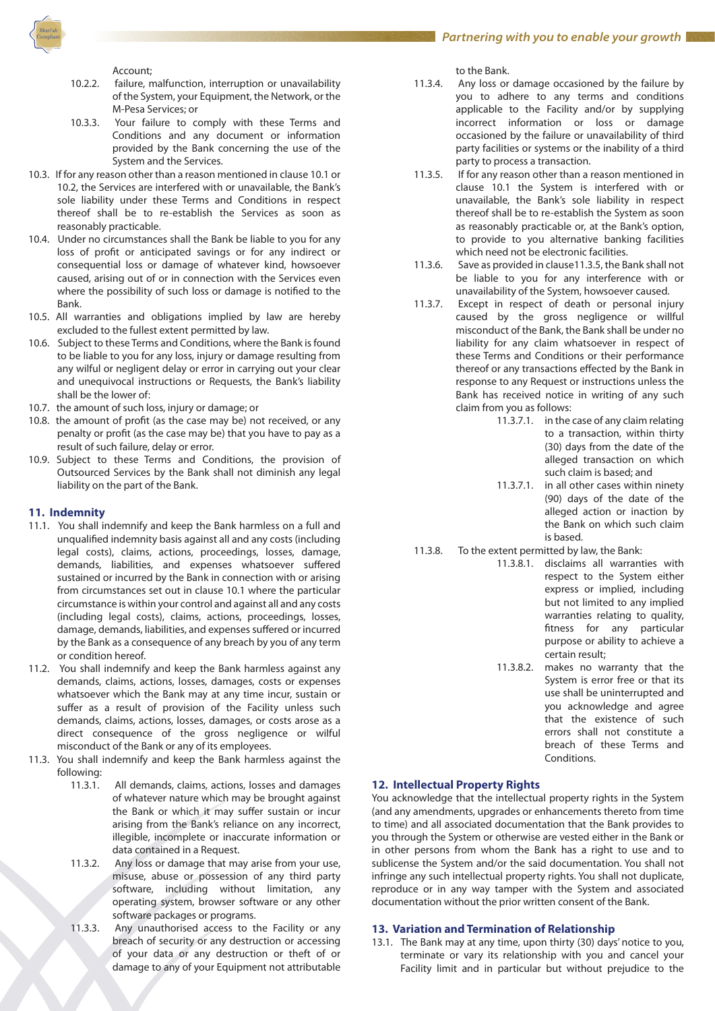

Account;

- 10.2.2. failure, malfunction, interruption or unavailability of the System, your Equipment, the Network, or the M-Pesa Services; or
- 10.3.3. Your failure to comply with these Terms and Conditions and any document or information provided by the Bank concerning the use of the System and the Services.
- 10.3. If for any reason other than a reason mentioned in clause 10.1 or 10.2, the Services are interfered with or unavailable, the Bank's sole liability under these Terms and Conditions in respect thereof shall be to re-establish the Services as soon as reasonably practicable.
- 10.4. Under no circumstances shall the Bank be liable to you for any loss of profit or anticipated savings or for any indirect or consequential loss or damage of whatever kind, howsoever caused, arising out of or in connection with the Services even where the possibility of such loss or damage is notified to the Bank.
- 10.5. All warranties and obligations implied by law are hereby excluded to the fullest extent permitted by law.
- 10.6. Subject to these Terms and Conditions, where the Bank is found to be liable to you for any loss, injury or damage resulting from any wilful or negligent delay or error in carrying out your clear and unequivocal instructions or Requests, the Bank's liability shall be the lower of:
- 10.7. the amount of such loss, injury or damage; or
- 10.8. the amount of profit (as the case may be) not received, or any penalty or profit (as the case may be) that you have to pay as a result of such failure, delay or error.
- 10.9. Subject to these Terms and Conditions, the provision of Outsourced Services by the Bank shall not diminish any legal liability on the part of the Bank.

## **11. Indemnity**

- 11.1. You shall indemnify and keep the Bank harmless on a full and unqualified indemnity basis against all and any costs (including legal costs), claims, actions, proceedings, losses, damage, demands, liabilities, and expenses whatsoever suffered sustained or incurred by the Bank in connection with or arising from circumstances set out in clause 10.1 where the particular circumstance is within your control and against all and any costs (including legal costs), claims, actions, proceedings, losses, damage, demands, liabilities, and expenses suffered or incurred by the Bank as a consequence of any breach by you of any term or condition hereof.
- 11.2. You shall indemnify and keep the Bank harmless against any demands, claims, actions, losses, damages, costs or expenses whatsoever which the Bank may at any time incur, sustain or suffer as a result of provision of the Facility unless such demands, claims, actions, losses, damages, or costs arose as a direct consequence of the gross negligence or wilful misconduct of the Bank or any of its employees.
- 11.3. You shall indemnify and keep the Bank harmless against the following:
	- 11.3.1. All demands, claims, actions, losses and damages of whatever nature which may be brought against the Bank or which it may suffer sustain or incur arising from the Bank's reliance on any incorrect, illegible, incomplete or inaccurate information or data contained in a Request.
	- 11.3.2. Any loss or damage that may arise from your use, misuse, abuse or possession of any third party software, including without limitation, any operating system, browser software or any other software packages or programs.
	- 11.3.3. Any unauthorised access to the Facility or any breach of security or any destruction or accessing of your data or any destruction or theft of or damage to any of your Equipment not attributable

to the Bank.

- 11.3.4. Any loss or damage occasioned by the failure by you to adhere to any terms and conditions applicable to the Facility and/or by supplying incorrect information or loss or damage occasioned by the failure or unavailability of third party facilities or systems or the inability of a third party to process a transaction.
- 11.3.5. If for any reason other than a reason mentioned in clause 10.1 the System is interfered with or unavailable, the Bank's sole liability in respect thereof shall be to re-establish the System as soon as reasonably practicable or, at the Bank's option, to provide to you alternative banking facilities which need not be electronic facilities.
- 11.3.6. Save as provided in clause11.3.5, the Bank shall not be liable to you for any interference with or unavailability of the System, howsoever caused.
- 11.3.7. Except in respect of death or personal injury caused by the gross negligence or willful misconduct of the Bank, the Bank shall be under no liability for any claim whatsoever in respect of these Terms and Conditions or their performance thereof or any transactions effected by the Bank in response to any Request or instructions unless the Bank has received notice in writing of any such claim from you as follows:
	- 11.3.7.1. in the case of any claim relating to a transaction, within thirty (30) days from the date of the alleged transaction on which such claim is based; and 11.3.7.1. in all other cases within ninety (90) days of the date of the alleged action or inaction by the Bank on which such claim is based.
- 11.3.8. To the extent permitted by law, the Bank:
	- 11.3.8.1. disclaims all warranties with respect to the System either express or implied, including but not limited to any implied warranties relating to quality, fitness for any particular purpose or ability to achieve a certain result; 11.3.8.2. makes no warranty that the System is error free or that its
		- use shall be uninterrupted and you acknowledge and agree that the existence of such errors shall not constitute a breach of these Terms and Conditions.

## **12. Intellectual Property Rights**

You acknowledge that the intellectual property rights in the System (and any amendments, upgrades or enhancements thereto from time to time) and all associated documentation that the Bank provides to you through the System or otherwise are vested either in the Bank or in other persons from whom the Bank has a right to use and to sublicense the System and/or the said documentation. You shall not infringe any such intellectual property rights. You shall not duplicate, reproduce or in any way tamper with the System and associated documentation without the prior written consent of the Bank.

## **13. Variation and Termination of Relationship**

13.1. The Bank may at any time, upon thirty (30) days' notice to you, terminate or vary its relationship with you and cancel your Facility limit and in particular but without prejudice to the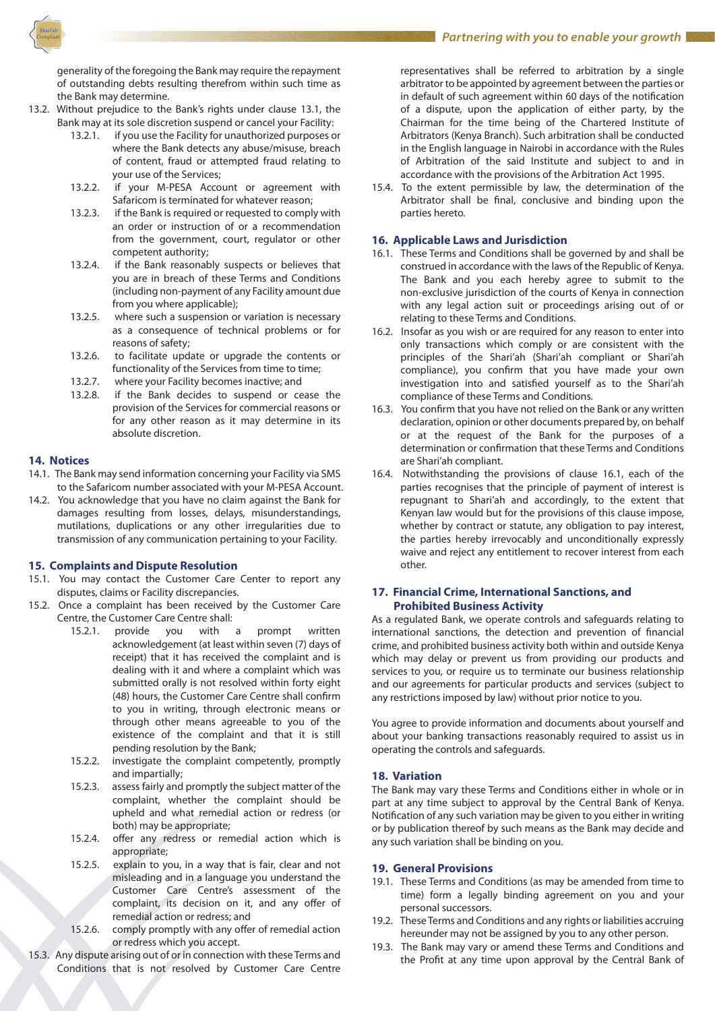Partnering with you to enable your growth

generality of the foregoing the Bank may require the repayment of outstanding debts resulting therefrom within such time as the Bank may determine.

- 13.2. Without prejudice to the Bank's rights under clause 13.1, the Bank may at its sole discretion suspend or cancel your Facility:
	- 13.2.1. if you use the Facility for unauthorized purposes or where the Bank detects any abuse/misuse, breach of content, fraud or attempted fraud relating to your use of the Services;
	- 13.2.2. if your M-PESA Account or agreement with Safaricom is terminated for whatever reason;
	- 13.2.3. if the Bank is required or requested to comply with an order or instruction of or a recommendation from the government, court, regulator or other competent authority;
	- 13.2.4. if the Bank reasonably suspects or believes that you are in breach of these Terms and Conditions (including non-payment of any Facility amount due from you where applicable);
	- 13.2.5. where such a suspension or variation is necessary as a consequence of technical problems or for reasons of safety;
	- 13.2.6. to facilitate update or upgrade the contents or functionality of the Services from time to time;
	- 13.2.7. where your Facility becomes inactive; and
	- 13.2.8. if the Bank decides to suspend or cease the provision of the Services for commercial reasons or for any other reason as it may determine in its absolute discretion.

## **14. Notices**

- 14.1. The Bank may send information concerning your Facility via SMS to the Safaricom number associated with your M-PESA Account.
- 14.2. You acknowledge that you have no claim against the Bank for damages resulting from losses, delays, misunderstandings, mutilations, duplications or any other irregularities due to transmission of any communication pertaining to your Facility.

## **15. Complaints and Dispute Resolution**

- 15.1. You may contact the Customer Care Center to report any disputes, claims or Facility discrepancies.
- 15.2. Once a complaint has been received by the Customer Care Centre, the Customer Care Centre shall:
	- 15.2.1. provide you with a prompt written acknowledgement (at least within seven (7) days of receipt) that it has received the complaint and is dealing with it and where a complaint which was submitted orally is not resolved within forty eight (48) hours, the Customer Care Centre shall confirm to you in writing, through electronic means or through other means agreeable to you of the existence of the complaint and that it is still pending resolution by the Bank;
	- 15.2.2. investigate the complaint competently, promptly and impartially;
	- 15.2.3. assess fairly and promptly the subject matter of the complaint, whether the complaint should be upheld and what remedial action or redress (or both) may be appropriate;
	- 15.2.4. offer any redress or remedial action which is appropriate;
	- 15.2.5. explain to you, in a way that is fair, clear and not misleading and in a language you understand the Customer Care Centre's assessment of the complaint, its decision on it, and any offer of remedial action or redress; and
	- 15.2.6. comply promptly with any offer of remedial action or redress which you accept.
- 15.3. Any dispute arising out of or in connection with these Terms and Conditions that is not resolved by Customer Care Centre

representatives shall be referred to arbitration by a single arbitrator to be appointed by agreement between the parties or in default of such agreement within 60 days of the notification of a dispute, upon the application of either party, by the Chairman for the time being of the Chartered Institute of Arbitrators (Kenya Branch). Such arbitration shall be conducted in the English language in Nairobi in accordance with the Rules of Arbitration of the said Institute and subject to and in accordance with the provisions of the Arbitration Act 1995.

15.4. To the extent permissible by law, the determination of the Arbitrator shall be final, conclusive and binding upon the parties hereto.

# **16. Applicable Laws and Jurisdiction**

- 16.1. These Terms and Conditions shall be governed by and shall be construed in accordance with the laws of the Republic of Kenya. The Bank and you each hereby agree to submit to the non-exclusive jurisdiction of the courts of Kenya in connection with any legal action suit or proceedings arising out of or relating to these Terms and Conditions.
- 16.2. Insofar as you wish or are required for any reason to enter into only transactions which comply or are consistent with the principles of the Shari'ah (Shari'ah compliant or Shari'ah compliance), you confirm that you have made your own investigation into and satisfied yourself as to the Shari'ah compliance of these Terms and Conditions.
- 16.3. You confirm that you have not relied on the Bank or any written declaration, opinion or other documents prepared by, on behalf or at the request of the Bank for the purposes of a determination or confirmation that these Terms and Conditions are Shari'ah compliant.
- 16.4. Notwithstanding the provisions of clause 16.1, each of the parties recognises that the principle of payment of interest is repugnant to Shari'ah and accordingly, to the extent that Kenyan law would but for the provisions of this clause impose, whether by contract or statute, any obligation to pay interest, the parties hereby irrevocably and unconditionally expressly waive and reject any entitlement to recover interest from each other.

## **17. Financial Crime, International Sanctions, and Prohibited Business Activity**

As a regulated Bank, we operate controls and safeguards relating to international sanctions, the detection and prevention of financial crime, and prohibited business activity both within and outside Kenya which may delay or prevent us from providing our products and services to you, or require us to terminate our business relationship and our agreements for particular products and services (subject to any restrictions imposed by law) without prior notice to you.

You agree to provide information and documents about yourself and about your banking transactions reasonably required to assist us in operating the controls and safeguards.

## **18. Variation**

The Bank may vary these Terms and Conditions either in whole or in part at any time subject to approval by the Central Bank of Kenya. Notification of any such variation may be given to you either in writing or by publication thereof by such means as the Bank may decide and any such variation shall be binding on you.

## **19. General Provisions**

- 19.1. These Terms and Conditions (as may be amended from time to time) form a legally binding agreement on you and your personal successors.
- 19.2. These Terms and Conditions and any rights or liabilities accruing hereunder may not be assigned by you to any other person.
- 19.3. The Bank may vary or amend these Terms and Conditions and the Profit at any time upon approval by the Central Bank of